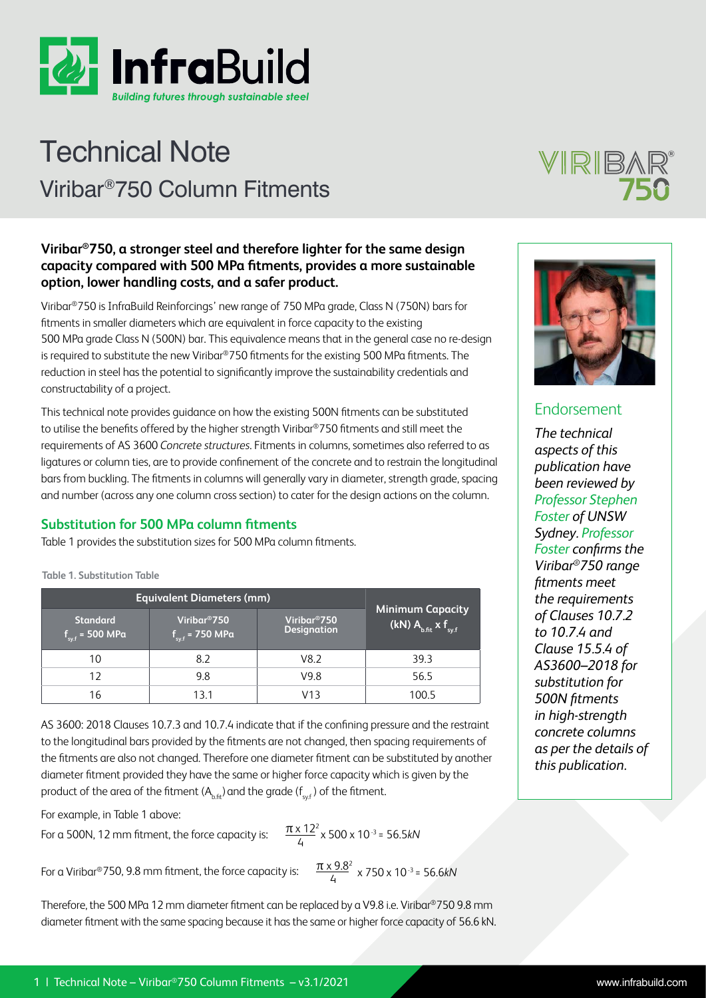

## Technical Note Viribar®750 Column Fitments

## **Viribar®750, a stronger steel and therefore lighter for the same design capacity compared with 500 MPa fitments, provides a more sustainable option, lower handling costs, and a safer product.**

Viribar®750 is InfraBuild Reinforcings' new range of 750 MPa grade, Class N (750N) bars for fitments in smaller diameters which are equivalent in force capacity to the existing 500 MPa grade Class N (500N) bar. This equivalence means that in the general case no re-design is required to substitute the new Viribar®750 fitments for the existing 500 MPa fitments. The reduction in steel has the potential to significantly improve the sustainability credentials and constructability of a project.

This technical note provides guidance on how the existing 500N fitments can be substituted to utilise the benefits offered by the higher strength Viribar®750 fitments and still meet the requirements of AS 3600 *Concrete structures*. Fitments in columns, sometimes also referred to as ligatures or column ties, are to provide confinement of the concrete and to restrain the longitudinal bars from buckling. The fitments in columns will generally vary in diameter, strength grade, spacing and number (across any one column cross section) to cater for the design actions on the column.

## **Substitution for 500 MPa column fitments**

Table 1 provides the substitution sizes for 500 MPa column fitments.

| <b>Equivalent Diameters (mm)</b>               |                                                         |                                                |                                                                        |
|------------------------------------------------|---------------------------------------------------------|------------------------------------------------|------------------------------------------------------------------------|
| <b>Standard</b><br>$f_{\text{sv.f}}$ = 500 MPa | Viribar <sup>®</sup> 750<br>$f_{\text{sv.f}}$ = 750 MPa | Viribar <sup>®</sup> 750<br><b>Designation</b> | <b>Minimum Capacity</b><br>(kN) $A_{\text{b.fit}}$ x $f_{\text{sy.f}}$ |
| 10                                             | 8.2                                                     | V8.2                                           | 39.3                                                                   |
| 12                                             | 9.8                                                     | V9.8                                           | 56.5                                                                   |
| 16                                             | 13.1                                                    | V13                                            | 100.5                                                                  |

AS 3600: 2018 Clauses 10.7.3 and 10.7.4 indicate that if the confining pressure and the restraint to the longitudinal bars provided by the fitments are not changed, then spacing requirements of the fitments are also not changed. Therefore one diameter fitment can be substituted by another diameter fitment provided they have the same or higher force capacity which is given by the product of the area of the fitment  $(A_{h\text{fit}})$  and the grade  $(f_{\text{svf}})$  of the fitment.

For example, in Table 1 above:

For a 500N, 12 mm fitment, the force capacity is:

 $\frac{x+2}{4}$  x 500 x 10<sup>-3</sup> = 56.5kN

For a Viribar®750, 9.8 mm fitment, the force capacity is:  $\frac{\pi \times 9.8^2}{4} \times 750 \times 10^{-3}$  = 56.6kN

Therefore, the 500 MPa 12 mm diameter fitment can be replaced by a V9.8 i.e. Viribar®750 9.8 mm diameter fitment with the same spacing because it has the same or higher force capacity of 56.6 kN.





## Endorsement

*The technical aspects of this publication have been reviewed by Professor Stephen Foster of UNSW Sydney. Professor Foster confirms the Viribar®750 range fitments meet the requirements of Clauses 10.7.2 to 10.7.4 and Clause 15.5.4 of AS3600–2018 for substitution for 500N fitments in high-strength concrete columns as per the details of this publication.*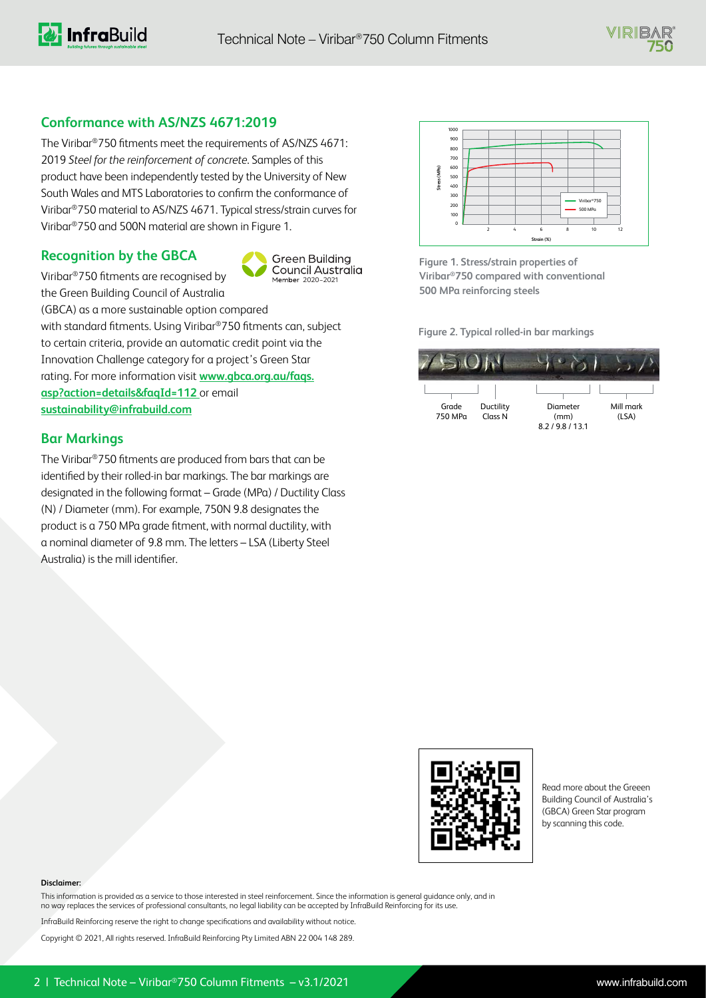Member 2020-2021

**Green Building** Council Australia

## **Conformance with AS/NZS 4671:2019**

The Viribar®750 fitments meet the requirements of AS/NZS 4671: 2019 *Steel for the reinforcement of concrete*. Samples of this product have been independently tested by the University of New South Wales and MTS Laboratories to confirm the conformance of Viribar®750 material to AS/NZS 4671. Typical stress/strain curves for Viribar®750 and 500N material are shown in Figure 1.

## **Recognition by the GBCA**

Viribar®750 fitments are recognised by the Green Building Council of Australia

(GBCA) as a more sustainable option compared with standard fitments. Using Viribar®750 fitments can, subject to certain criteria, provide an automatic credit point via the Innovation Challenge category for a project's Green Star rating. For more information visit **[www.gbca.org.au/faqs.](https://www.gbca.org.au/faqs.asp?action=details&faqId=112) [asp?action=details&faqId=112](https://www.gbca.org.au/faqs.asp?action=details&faqId=112)** or email **[sustainability@infrabuild.com](mailto:sustainability%40infrabuild.com?subject=)**

## **Bar Markings**

The Viribar®750 fitments are produced from bars that can be identified by their rolled-in bar markings. The bar markings are designated in the following format – Grade (MPa) / Ductility Class (N) / Diameter (mm). For example, 750N 9.8 designates the product is a 750 MPa grade fitment, with normal ductility, with a nominal diameter of 9.8 mm. The letters – LSA (Liberty Steel Australia) is the mill identifier.



**Figure 1. Stress/strain properties of Viribar®750 compared with conventional 500 MPa reinforcing steels**

**Figure 2. Typical rolled-in bar markings**





Read more about the Greeen Building Council of Australia's (GBCA) Green Star program by scanning this code.

#### **Disclaimer:**

This information is provided as a service to those interested in steel reinforcement. Since the information is general guidance only, and in no way replaces the services of professional consultants, no legal liability can be accepted by InfraBuild Reinforcing for its use.

InfraBuild Reinforcing reserve the right to change specifications and availability without notice.

Copyright © 2021, All rights reserved. InfraBuild Reinforcing Pty Limited ABN 22 004 148 289.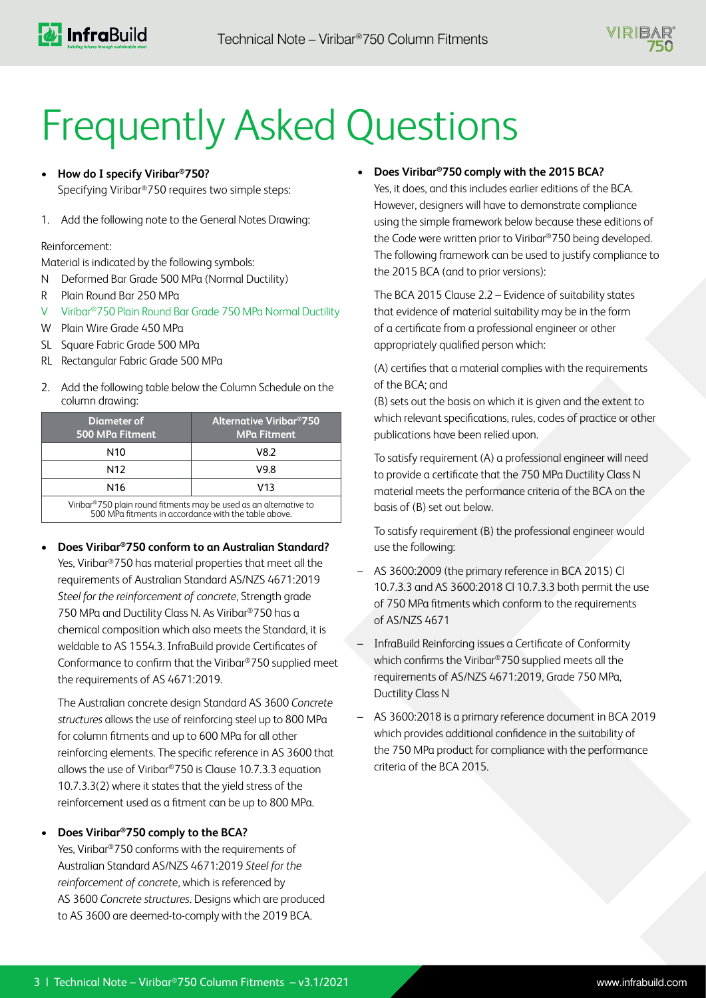# Frequently Asked Questions

## **• How do I specify Viribar®750?**

Specifying Viribar®750 requires two simple steps:

1. Add the following note to the General Notes Drawing:

Reinforcement:

Material is indicated by the following symbols:

- N Deformed Bar Grade 500 MPa (Normal Ductility)
- R Plain Round Bar 250 MPa
- V Viribar®750 Plain Round Bar Grade 750 MPa Normal Ductility
- W Plain Wire Grade 450 MPa
- SL Square Fabric Grade 500 MPa
- RL Rectangular Fabric Grade 500 MPa
- 2. Add the following table below the Column Schedule on the column drawing:

| Diameter of<br>500 MPa Fitment                                                                                            | <b>Alternative Viribar<sup>®</sup>750</b><br><b>MPa Fitment</b> |  |
|---------------------------------------------------------------------------------------------------------------------------|-----------------------------------------------------------------|--|
| N <sub>10</sub>                                                                                                           | V8.2                                                            |  |
| N <sub>12</sub>                                                                                                           | V9.8                                                            |  |
| N <sub>16</sub>                                                                                                           | V13                                                             |  |
| Viribar®750 plain round fitments may be used as an alternative to<br>500 MPa fitments in accordance with the table above. |                                                                 |  |

**• Does Viribar®750 conform to an Australian Standard?**

Yes, Viribar®750 has material properties that meet all the requirements of Australian Standard AS/NZS 4671:2019 *Steel for the reinforcement of concrete*, Strength grade 750 MPa and Ductility Class N. As Viribar®750 has a chemical composition which also meets the Standard, it is weldable to AS 1554.3. InfraBuild provide Certificates of Conformance to confirm that the Viribar®750 supplied meet the requirements of AS 4671:2019.

The Australian concrete design Standard AS 3600 *Concrete structures* allows the use of reinforcing steel up to 800 MPa for column fitments and up to 600 MPa for all other reinforcing elements. The specific reference in AS 3600 that allows the use of Viribar®750 is Clause 10.7.3.3 equation 10.7.3.3(2) where it states that the yield stress of the reinforcement used as a fitment can be up to 800 MPa.

## **• Does Viribar®750 comply to the BCA?**

Yes, Viribar®750 conforms with the requirements of Australian Standard AS/NZS 4671:2019 *Steel for the reinforcement of concret*e, which is referenced by AS 3600 *Concrete structures*. Designs which are produced to AS 3600 are deemed-to-comply with the 2019 BCA.

## **• Does Viribar®750 comply with the 2015 BCA?**

Yes, it does, and this includes earlier editions of the BCA. However, designers will have to demonstrate compliance using the simple framework below because these editions of the Code were written prior to Viribar®750 being developed. The following framework can be used to justify compliance to the 2015 BCA (and to prior versions):

The BCA 2015 Clause 2.2 – Evidence of suitability states that evidence of material suitability may be in the form of a certificate from a professional engineer or other appropriately qualified person which:

(A) certifies that a material complies with the requirements of the BCA; and

(B) sets out the basis on which it is given and the extent to which relevant specifications, rules, codes of practice or other publications have been relied upon.

To satisfy requirement (A) a professional engineer will need to provide a certificate that the 750 MPa Ductility Class N material meets the performance criteria of the BCA on the basis of (B) set out below.

To satisfy requirement (B) the professional engineer would use the following:

- AS 3600:2009 (the primary reference in BCA 2015) Cl 10.7.3.3 and AS 3600:2018 Cl 10.7.3.3 both permit the use of 750 MPa fitments which conform to the requirements of AS/NZS 4671
- InfraBuild Reinforcing issues a Certificate of Conformity which confirms the Viribar®750 supplied meets all the requirements of AS/NZS 4671:2019, Grade 750 MPa, Ductility Class N
- AS 3600:2018 is a primary reference document in BCA 2019 which provides additional confidence in the suitability of the 750 MPa product for compliance with the performance criteria of the BCA 2015.